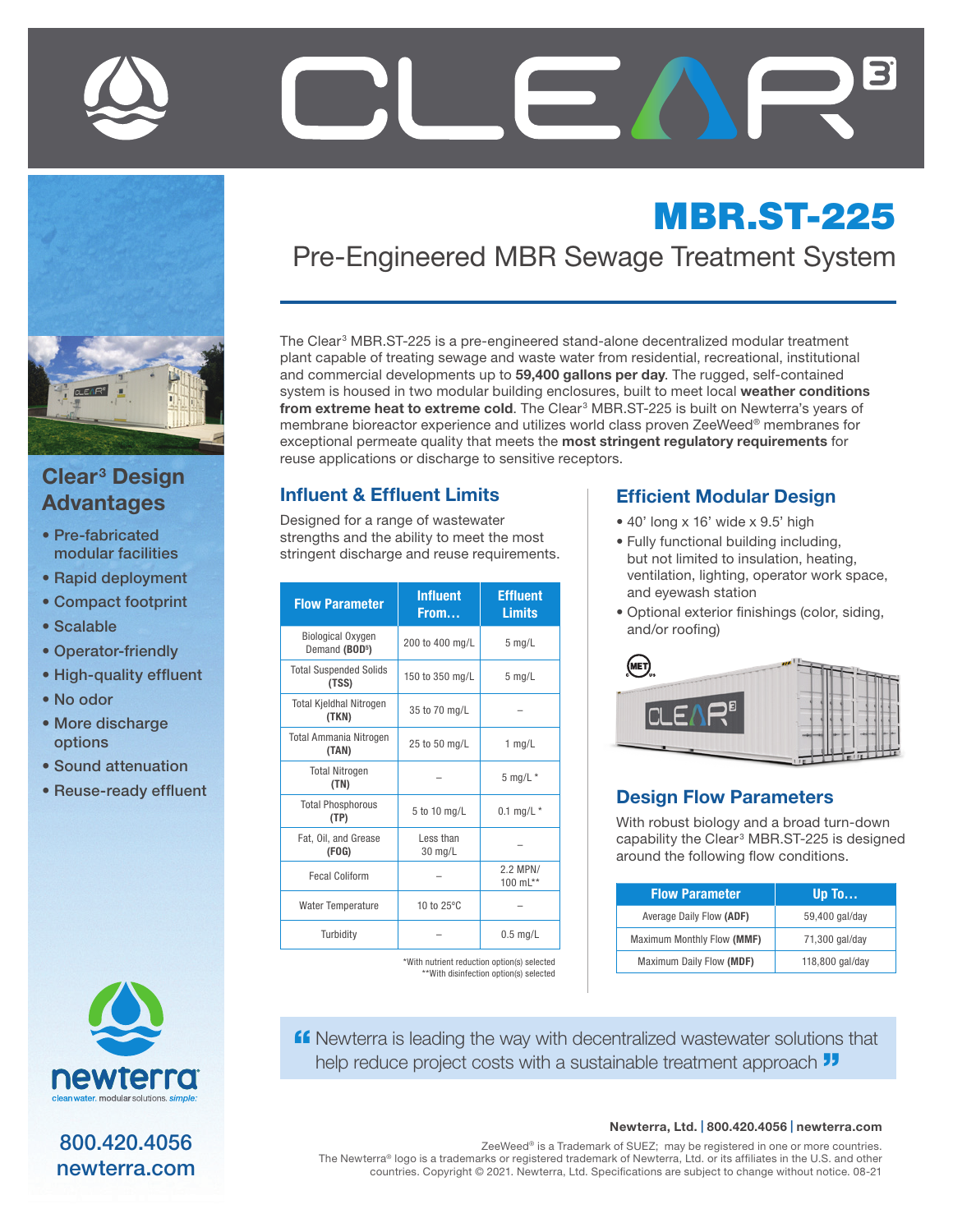

## Clear<sup>3</sup> Design Advantages

- Pre-fabricated modular facilities
- Rapid deployment
- Compact footprint
- Scalable
- Operator-friendly
- High-quality effluent
- No odor
- More discharge options
- Sound attenuation
- Reuse-ready effluent



800.420.4056 newterra.com

# MBR.ST-225 Pre-Engineered MBR Sewage Treatment System

The Clear<sup>3</sup> MBR.ST-225 is a pre-engineered stand-alone decentralized modular treatment plant capable of treating sewage and waste water from residential, recreational, institutional and commercial developments up to 59,400 gallons per day. The rugged, self-contained system is housed in two modular building enclosures, built to meet local weather conditions from extreme heat to extreme cold. The Clear<sup>3</sup> MBR.ST-225 is built on Newterra's years of membrane bioreactor experience and utilizes world class proven ZeeWeed® membranes for exceptional permeate quality that meets the most stringent regulatory requirements for reuse applications or discharge to sensitive receptors.

#### Influent & Effluent Limits

Designed for a range of wastewater strengths and the ability to meet the most stringent discharge and reuse requirements.

| <b>Flow Parameter</b>                                  | <b>Influent</b><br>From | <b>Effluent</b><br><b>Limits</b> |
|--------------------------------------------------------|-------------------------|----------------------------------|
| <b>Biological Oxygen</b><br>Demand (BOD <sup>5</sup> ) | 200 to 400 mg/L         | $5$ mg/L                         |
| <b>Total Suspended Solids</b><br>(TSS)                 | 150 to 350 mg/L         | $5 \text{ mg/L}$                 |
| <b>Total Kjeldhal Nitrogen</b><br>(TKN)                | 35 to 70 mg/L           |                                  |
| <b>Total Ammania Nitrogen</b><br>(TAN)                 | 25 to 50 mg/L           | $1$ mg/L                         |
| <b>Total Nitrogen</b><br>(TN)                          |                         | $5$ mg/L $*$                     |
| <b>Total Phosphorous</b><br>(TP)                       | 5 to 10 mg/L            | 0.1 mg/L $*$                     |
| Fat, Oil, and Grease<br>(FOG)                          | Less than<br>30 mg/L    |                                  |
| <b>Fecal Coliform</b>                                  |                         | 2.2 MPN/<br>100 mL**             |
| <b>Water Temperature</b>                               | 10 to 25°C              |                                  |
| Turbidity                                              |                         | $0.5$ mg/L                       |

\*With nutrient reduction option(s) selected \*\*With disinfection option(s) selected

#### Efficient Modular Design

- 40' long x 16' wide x 9.5' high
- Fully functional building including, but not limited to insulation, heating, ventilation, lighting, operator work space, and eyewash station
- Optional exterior finishings (color, siding, and/or roofing)



#### Design Flow Parameters

With robust biology and a broad turn-down capability the Clear<sup>3</sup> MBR.ST-225 is designed around the following flow conditions.

| <b>Flow Parameter</b>      | Up To           |
|----------------------------|-----------------|
| Average Daily Flow (ADF)   | 59,400 gal/day  |
| Maximum Monthly Flow (MMF) | 71,300 gal/day  |
| Maximum Daily Flow (MDF)   | 118,800 gal/day |

**ff** Newterra is leading the way with decentralized wastewater solutions that help reduce project costs with a sustainable treatment approach  $\overline{\mathbf{J}}$ 

#### Newterra, Ltd. | 800.420.4056 | newterra.com

ZeeWeed® is a Trademark of SUEZ; may be registered in one or more countries. The Newterra® logo is a trademarks or registered trademark of Newterra, Ltd. or its affiliates in the U.S. and other countries. Copyright © 2021. Newterra, Ltd. Specifications are subject to change without notice. 08-21